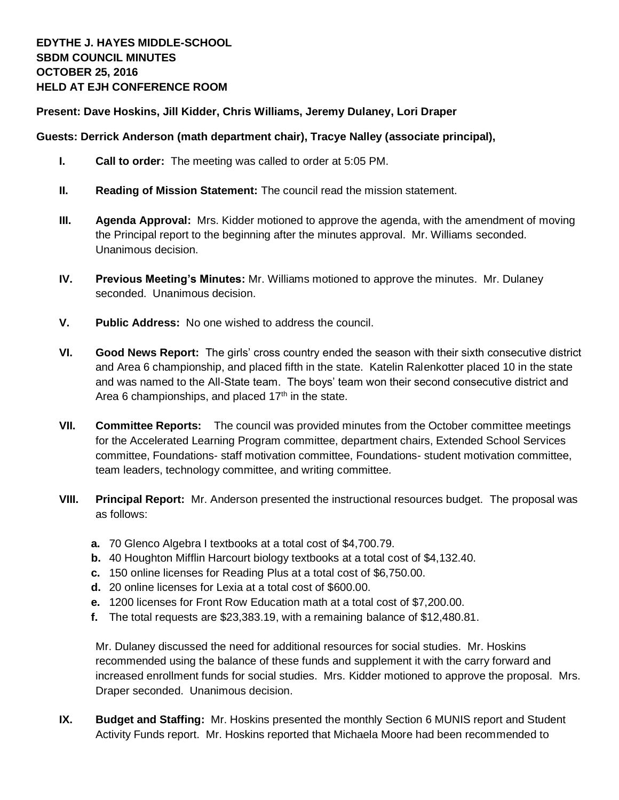## **Present: Dave Hoskins, Jill Kidder, Chris Williams, Jeremy Dulaney, Lori Draper**

## **Guests: Derrick Anderson (math department chair), Tracye Nalley (associate principal),**

- **I. Call to order:** The meeting was called to order at 5:05 PM.
- **II. Reading of Mission Statement:** The council read the mission statement.
- **III. Agenda Approval:** Mrs. Kidder motioned to approve the agenda, with the amendment of moving the Principal report to the beginning after the minutes approval. Mr. Williams seconded. Unanimous decision.
- **IV. Previous Meeting's Minutes:** Mr. Williams motioned to approve the minutes. Mr. Dulaney seconded. Unanimous decision.
- **V. Public Address:** No one wished to address the council.
- **VI. Good News Report:** The girls' cross country ended the season with their sixth consecutive district and Area 6 championship, and placed fifth in the state. Katelin Ralenkotter placed 10 in the state and was named to the All-State team. The boys' team won their second consecutive district and Area 6 championships, and placed  $17<sup>th</sup>$  in the state.
- **VII. Committee Reports:** The council was provided minutes from the October committee meetings for the Accelerated Learning Program committee, department chairs, Extended School Services committee, Foundations- staff motivation committee, Foundations- student motivation committee, team leaders, technology committee, and writing committee.
- **VIII. Principal Report:** Mr. Anderson presented the instructional resources budget. The proposal was as follows:
	- **a.** 70 Glenco Algebra I textbooks at a total cost of \$4,700.79.
	- **b.** 40 Houghton Mifflin Harcourt biology textbooks at a total cost of \$4,132.40.
	- **c.** 150 online licenses for Reading Plus at a total cost of \$6,750.00.
	- **d.** 20 online licenses for Lexia at a total cost of \$600.00.
	- **e.** 1200 licenses for Front Row Education math at a total cost of \$7,200.00.
	- **f.** The total requests are \$23,383.19, with a remaining balance of \$12,480.81.

Mr. Dulaney discussed the need for additional resources for social studies. Mr. Hoskins recommended using the balance of these funds and supplement it with the carry forward and increased enrollment funds for social studies. Mrs. Kidder motioned to approve the proposal. Mrs. Draper seconded. Unanimous decision.

**IX. Budget and Staffing:** Mr. Hoskins presented the monthly Section 6 MUNIS report and Student Activity Funds report. Mr. Hoskins reported that Michaela Moore had been recommended to